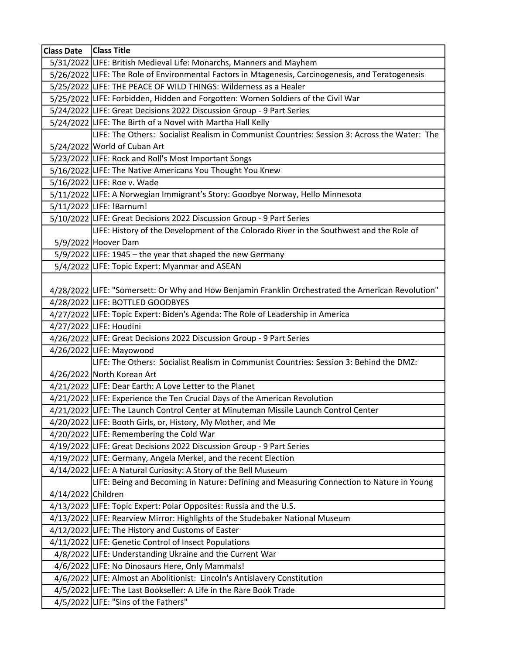| Class Date   Class Title |                                                                                                                                                                                                                                                                                                                                                                                                                                                                                                                                                                            |
|--------------------------|----------------------------------------------------------------------------------------------------------------------------------------------------------------------------------------------------------------------------------------------------------------------------------------------------------------------------------------------------------------------------------------------------------------------------------------------------------------------------------------------------------------------------------------------------------------------------|
|                          | 5/31/2022 LIFE: British Medieval Life: Monarchs, Manners and Mayhem                                                                                                                                                                                                                                                                                                                                                                                                                                                                                                        |
|                          | 5/26/2022 LIFE: The Role of Environmental Factors in Mtagenesis, Carcinogenesis, and Teratogenesis                                                                                                                                                                                                                                                                                                                                                                                                                                                                         |
|                          | 5/25/2022 LIFE: THE PEACE OF WILD THINGS: Wilderness as a Healer                                                                                                                                                                                                                                                                                                                                                                                                                                                                                                           |
|                          | 5/25/2022 LIFE: Forbidden, Hidden and Forgotten: Women Soldiers of the Civil War                                                                                                                                                                                                                                                                                                                                                                                                                                                                                           |
|                          | 5/24/2022 LIFE: Great Decisions 2022 Discussion Group - 9 Part Series                                                                                                                                                                                                                                                                                                                                                                                                                                                                                                      |
|                          | 5/24/2022 LIFE: The Birth of a Novel with Martha Hall Kelly                                                                                                                                                                                                                                                                                                                                                                                                                                                                                                                |
|                          | LIFE: The Others: Socialist Realism in Communist Countries: Session 3: Across the Water: The                                                                                                                                                                                                                                                                                                                                                                                                                                                                               |
|                          | 5/24/2022 World of Cuban Art                                                                                                                                                                                                                                                                                                                                                                                                                                                                                                                                               |
|                          | 5/23/2022 LIFE: Rock and Roll's Most Important Songs                                                                                                                                                                                                                                                                                                                                                                                                                                                                                                                       |
|                          | 5/16/2022 LIFE: The Native Americans You Thought You Knew                                                                                                                                                                                                                                                                                                                                                                                                                                                                                                                  |
|                          | 5/16/2022 LIFE: Roe v. Wade                                                                                                                                                                                                                                                                                                                                                                                                                                                                                                                                                |
|                          | 5/11/2022 LIFE: A Norwegian Immigrant's Story: Goodbye Norway, Hello Minnesota                                                                                                                                                                                                                                                                                                                                                                                                                                                                                             |
|                          | 5/11/2022 LIFE: !Barnum!                                                                                                                                                                                                                                                                                                                                                                                                                                                                                                                                                   |
|                          | 5/10/2022 LIFE: Great Decisions 2022 Discussion Group - 9 Part Series                                                                                                                                                                                                                                                                                                                                                                                                                                                                                                      |
|                          | LIFE: History of the Development of the Colorado River in the Southwest and the Role of                                                                                                                                                                                                                                                                                                                                                                                                                                                                                    |
|                          | 5/9/2022 Hoover Dam                                                                                                                                                                                                                                                                                                                                                                                                                                                                                                                                                        |
|                          | $5/9/2022$ LIFE: 1945 – the year that shaped the new Germany                                                                                                                                                                                                                                                                                                                                                                                                                                                                                                               |
|                          | 5/4/2022 LIFE: Topic Expert: Myanmar and ASEAN                                                                                                                                                                                                                                                                                                                                                                                                                                                                                                                             |
|                          |                                                                                                                                                                                                                                                                                                                                                                                                                                                                                                                                                                            |
|                          | 4/28/2022 LIFE: "Somersett: Or Why and How Benjamin Franklin Orchestrated the American Revolution"                                                                                                                                                                                                                                                                                                                                                                                                                                                                         |
|                          | 4/28/2022 LIFE: BOTTLED GOODBYES                                                                                                                                                                                                                                                                                                                                                                                                                                                                                                                                           |
|                          | 4/27/2022 LIFE: Topic Expert: Biden's Agenda: The Role of Leadership in America                                                                                                                                                                                                                                                                                                                                                                                                                                                                                            |
|                          | 4/27/2022 LIFE: Houdini                                                                                                                                                                                                                                                                                                                                                                                                                                                                                                                                                    |
|                          | 4/26/2022 LIFE: Great Decisions 2022 Discussion Group - 9 Part Series                                                                                                                                                                                                                                                                                                                                                                                                                                                                                                      |
|                          | 4/26/2022 LIFE: Mayowood                                                                                                                                                                                                                                                                                                                                                                                                                                                                                                                                                   |
|                          | LIFE: The Others: Socialist Realism in Communist Countries: Session 3: Behind the DMZ:                                                                                                                                                                                                                                                                                                                                                                                                                                                                                     |
|                          | 4/26/2022 North Korean Art                                                                                                                                                                                                                                                                                                                                                                                                                                                                                                                                                 |
|                          | 4/21/2022 LIFE: Dear Earth: A Love Letter to the Planet                                                                                                                                                                                                                                                                                                                                                                                                                                                                                                                    |
|                          | 4/21/2022 LIFE: Experience the Ten Crucial Days of the American Revolution<br>4/21/2022 LIFE: The Launch Control Center at Minuteman Missile Launch Control Center                                                                                                                                                                                                                                                                                                                                                                                                         |
|                          |                                                                                                                                                                                                                                                                                                                                                                                                                                                                                                                                                                            |
|                          | 4/20/2022 LIFE: Booth Girls, or, History, My Mother, and Me<br>4/20/2022 LIFE: Remembering the Cold War                                                                                                                                                                                                                                                                                                                                                                                                                                                                    |
|                          | 4/19/2022 LIFE: Great Decisions 2022 Discussion Group - 9 Part Series                                                                                                                                                                                                                                                                                                                                                                                                                                                                                                      |
|                          | 4/19/2022 LIFE: Germany, Angela Merkel, and the recent Election                                                                                                                                                                                                                                                                                                                                                                                                                                                                                                            |
|                          | 4/14/2022 LIFE: A Natural Curiosity: A Story of the Bell Museum                                                                                                                                                                                                                                                                                                                                                                                                                                                                                                            |
|                          | LIFE: Being and Becoming in Nature: Defining and Measuring Connection to Nature in Young                                                                                                                                                                                                                                                                                                                                                                                                                                                                                   |
| 4/14/2022 Children       |                                                                                                                                                                                                                                                                                                                                                                                                                                                                                                                                                                            |
|                          |                                                                                                                                                                                                                                                                                                                                                                                                                                                                                                                                                                            |
|                          |                                                                                                                                                                                                                                                                                                                                                                                                                                                                                                                                                                            |
|                          |                                                                                                                                                                                                                                                                                                                                                                                                                                                                                                                                                                            |
|                          |                                                                                                                                                                                                                                                                                                                                                                                                                                                                                                                                                                            |
|                          |                                                                                                                                                                                                                                                                                                                                                                                                                                                                                                                                                                            |
|                          |                                                                                                                                                                                                                                                                                                                                                                                                                                                                                                                                                                            |
|                          |                                                                                                                                                                                                                                                                                                                                                                                                                                                                                                                                                                            |
|                          |                                                                                                                                                                                                                                                                                                                                                                                                                                                                                                                                                                            |
|                          |                                                                                                                                                                                                                                                                                                                                                                                                                                                                                                                                                                            |
|                          | 4/13/2022 LIFE: Topic Expert: Polar Opposites: Russia and the U.S.<br>4/13/2022 LIFE: Rearview Mirror: Highlights of the Studebaker National Museum<br>4/12/2022 LIFE: The History and Customs of Easter<br>4/11/2022 LIFE: Genetic Control of Insect Populations<br>4/8/2022 LIFE: Understanding Ukraine and the Current War<br>4/6/2022 LIFE: No Dinosaurs Here, Only Mammals!<br>4/6/2022 LIFE: Almost an Abolitionist: Lincoln's Antislavery Constitution<br>4/5/2022 LIFE: The Last Bookseller: A Life in the Rare Book Trade<br>4/5/2022 LIFE: "Sins of the Fathers" |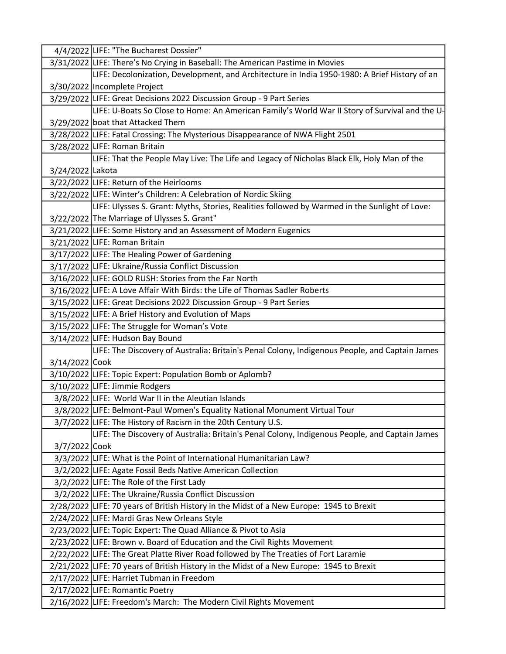|                  | 4/4/2022 LIFE: "The Bucharest Dossier"                                                         |
|------------------|------------------------------------------------------------------------------------------------|
|                  | 3/31/2022 LIFE: There's No Crying in Baseball: The American Pastime in Movies                  |
|                  | LIFE: Decolonization, Development, and Architecture in India 1950-1980: A Brief History of an  |
|                  | 3/30/2022 Incomplete Project                                                                   |
|                  | 3/29/2022 LIFE: Great Decisions 2022 Discussion Group - 9 Part Series                          |
|                  | LIFE: U-Boats So Close to Home: An American Family's World War II Story of Survival and the U- |
|                  | 3/29/2022 boat that Attacked Them                                                              |
|                  | 3/28/2022 LIFE: Fatal Crossing: The Mysterious Disappearance of NWA Flight 2501                |
|                  | 3/28/2022 LIFE: Roman Britain                                                                  |
|                  | LIFE: That the People May Live: The Life and Legacy of Nicholas Black Elk, Holy Man of the     |
| 3/24/2022 Lakota |                                                                                                |
|                  | 3/22/2022 LIFE: Return of the Heirlooms                                                        |
|                  | 3/22/2022 LIFE: Winter's Children: A Celebration of Nordic Skiing                              |
|                  | LIFE: Ulysses S. Grant: Myths, Stories, Realities followed by Warmed in the Sunlight of Love:  |
|                  | 3/22/2022 The Marriage of Ulysses S. Grant"                                                    |
|                  | 3/21/2022 LIFE: Some History and an Assessment of Modern Eugenics                              |
|                  | 3/21/2022 LIFE: Roman Britain                                                                  |
|                  | 3/17/2022 LIFE: The Healing Power of Gardening                                                 |
|                  | 3/17/2022 LIFE: Ukraine/Russia Conflict Discussion                                             |
|                  | 3/16/2022 LIFE: GOLD RUSH: Stories from the Far North                                          |
|                  | 3/16/2022 LIFE: A Love Affair With Birds: the Life of Thomas Sadler Roberts                    |
|                  | 3/15/2022 LIFE: Great Decisions 2022 Discussion Group - 9 Part Series                          |
|                  | 3/15/2022 LIFE: A Brief History and Evolution of Maps                                          |
|                  | 3/15/2022 LIFE: The Struggle for Woman's Vote                                                  |
|                  | 3/14/2022 LIFE: Hudson Bay Bound                                                               |
|                  | LIFE: The Discovery of Australia: Britain's Penal Colony, Indigenous People, and Captain James |
| 3/14/2022 Cook   |                                                                                                |
|                  | 3/10/2022 LIFE: Topic Expert: Population Bomb or Aplomb?                                       |
|                  | 3/10/2022 LIFE: Jimmie Rodgers                                                                 |
|                  | 3/8/2022 LIFE: World War II in the Aleutian Islands                                            |
|                  | 3/8/2022 LIFE: Belmont-Paul Women's Equality National Monument Virtual Tour                    |
|                  | 3/7/2022 LIFE: The History of Racism in the 20th Century U.S.                                  |
|                  | LIFE: The Discovery of Australia: Britain's Penal Colony, Indigenous People, and Captain James |
| 3/7/2022 Cook    |                                                                                                |
|                  | 3/3/2022 LIFE: What is the Point of International Humanitarian Law?                            |
|                  | 3/2/2022 LIFE: Agate Fossil Beds Native American Collection                                    |
|                  | 3/2/2022 LIFE: The Role of the First Lady                                                      |
|                  | 3/2/2022 LIFE: The Ukraine/Russia Conflict Discussion                                          |
|                  | 2/28/2022 LIFE: 70 years of British History in the Midst of a New Europe: 1945 to Brexit       |
|                  | 2/24/2022 LIFE: Mardi Gras New Orleans Style                                                   |
|                  | 2/23/2022 LIFE: Topic Expert: The Quad Alliance & Pivot to Asia                                |
|                  | 2/23/2022 LIFE: Brown v. Board of Education and the Civil Rights Movement                      |
|                  | 2/22/2022 LIFE: The Great Platte River Road followed by The Treaties of Fort Laramie           |
|                  | 2/21/2022 LIFE: 70 years of British History in the Midst of a New Europe: 1945 to Brexit       |
|                  | 2/17/2022 LIFE: Harriet Tubman in Freedom                                                      |
|                  | 2/17/2022 LIFE: Romantic Poetry                                                                |
|                  | 2/16/2022 LIFE: Freedom's March: The Modern Civil Rights Movement                              |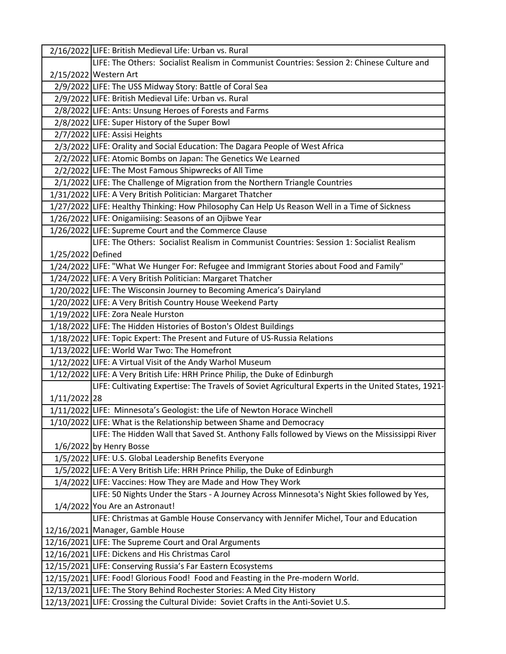|                   | 2/16/2022 LIFE: British Medieval Life: Urban vs. Rural                                                                   |
|-------------------|--------------------------------------------------------------------------------------------------------------------------|
|                   | LIFE: The Others: Socialist Realism in Communist Countries: Session 2: Chinese Culture and                               |
|                   | 2/15/2022 Western Art                                                                                                    |
|                   | 2/9/2022 LIFE: The USS Midway Story: Battle of Coral Sea                                                                 |
|                   | 2/9/2022 LIFE: British Medieval Life: Urban vs. Rural                                                                    |
|                   | 2/8/2022 LIFE: Ants: Unsung Heroes of Forests and Farms                                                                  |
|                   | 2/8/2022 LIFE: Super History of the Super Bowl                                                                           |
|                   | 2/7/2022 LIFE: Assisi Heights                                                                                            |
|                   | 2/3/2022 LIFE: Orality and Social Education: The Dagara People of West Africa                                            |
|                   | 2/2/2022 LIFE: Atomic Bombs on Japan: The Genetics We Learned                                                            |
|                   | 2/2/2022 LIFE: The Most Famous Shipwrecks of All Time                                                                    |
|                   | 2/1/2022 LIFE: The Challenge of Migration from the Northern Triangle Countries                                           |
|                   | 1/31/2022 LIFE: A Very British Politician: Margaret Thatcher                                                             |
|                   | 1/27/2022 LIFE: Healthy Thinking: How Philosophy Can Help Us Reason Well in a Time of Sickness                           |
|                   | 1/26/2022 LIFE: Onigamiising: Seasons of an Ojibwe Year                                                                  |
|                   | 1/26/2022 LIFE: Supreme Court and the Commerce Clause                                                                    |
|                   | LIFE: The Others: Socialist Realism in Communist Countries: Session 1: Socialist Realism                                 |
| 1/25/2022 Defined |                                                                                                                          |
|                   | 1/24/2022 LIFE: "What We Hunger For: Refugee and Immigrant Stories about Food and Family"                                |
|                   | 1/24/2022 LIFE: A Very British Politician: Margaret Thatcher                                                             |
|                   | 1/20/2022 LIFE: The Wisconsin Journey to Becoming America's Dairyland                                                    |
|                   | 1/20/2022 LIFE: A Very British Country House Weekend Party                                                               |
|                   | 1/19/2022 LIFE: Zora Neale Hurston                                                                                       |
|                   | 1/18/2022 LIFE: The Hidden Histories of Boston's Oldest Buildings                                                        |
|                   | 1/18/2022 LIFE: Topic Expert: The Present and Future of US-Russia Relations                                              |
|                   | 1/13/2022 LIFE: World War Two: The Homefront                                                                             |
|                   | 1/12/2022 LIFE: A Virtual Visit of the Andy Warhol Museum                                                                |
|                   | 1/12/2022 LIFE: A Very British Life: HRH Prince Philip, the Duke of Edinburgh                                            |
|                   | LIFE: Cultivating Expertise: The Travels of Soviet Agricultural Experts in the United States, 1921-                      |
| 1/11/2022 28      |                                                                                                                          |
|                   | 1/11/2022 LIFE: Minnesota's Geologist: the Life of Newton Horace Winchell                                                |
|                   | 1/10/2022 LIFE: What is the Relationship between Shame and Democracy                                                     |
|                   | LIFE: The Hidden Wall that Saved St. Anthony Falls followed by Views on the Mississippi River                            |
|                   | 1/6/2022 by Henry Bosse                                                                                                  |
|                   | 1/5/2022 LIFE: U.S. Global Leadership Benefits Everyone                                                                  |
|                   | 1/5/2022 LIFE: A Very British Life: HRH Prince Philip, the Duke of Edinburgh                                             |
|                   | 1/4/2022 LIFE: Vaccines: How They are Made and How They Work                                                             |
|                   | LIFE: 50 Nights Under the Stars - A Journey Across Minnesota's Night Skies followed by Yes,                              |
|                   | 1/4/2022 You Are an Astronaut!                                                                                           |
|                   | LIFE: Christmas at Gamble House Conservancy with Jennifer Michel, Tour and Education<br>12/16/2021 Manager, Gamble House |
|                   | 12/16/2021 LIFE: The Supreme Court and Oral Arguments                                                                    |
|                   | 12/16/2021 LIFE: Dickens and His Christmas Carol                                                                         |
|                   | 12/15/2021 LIFE: Conserving Russia's Far Eastern Ecosystems                                                              |
|                   | 12/15/2021 LIFE: Food! Glorious Food! Food and Feasting in the Pre-modern World.                                         |
|                   | 12/13/2021 LIFE: The Story Behind Rochester Stories: A Med City History                                                  |
|                   | 12/13/2021 LIFE: Crossing the Cultural Divide: Soviet Crafts in the Anti-Soviet U.S.                                     |
|                   |                                                                                                                          |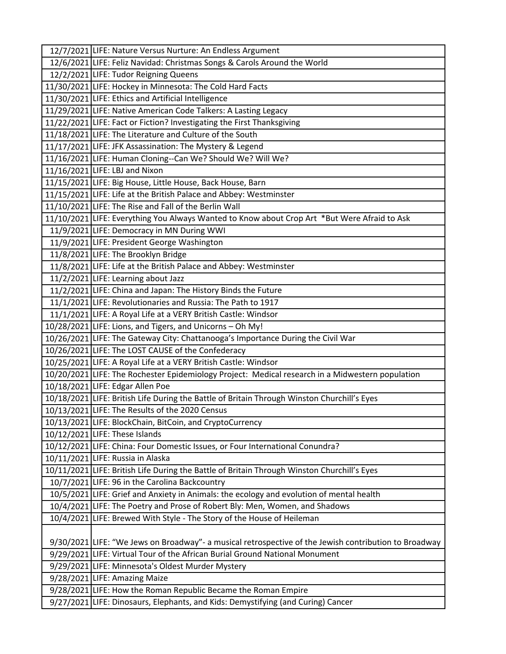| 12/7/2021 LIFE: Nature Versus Nurture: An Endless Argument                                                                                    |
|-----------------------------------------------------------------------------------------------------------------------------------------------|
| 12/6/2021 LIFE: Feliz Navidad: Christmas Songs & Carols Around the World                                                                      |
| 12/2/2021 LIFE: Tudor Reigning Queens                                                                                                         |
| 11/30/2021 LIFE: Hockey in Minnesota: The Cold Hard Facts                                                                                     |
| 11/30/2021 LIFE: Ethics and Artificial Intelligence                                                                                           |
| 11/29/2021 LIFE: Native American Code Talkers: A Lasting Legacy                                                                               |
| 11/22/2021 LIFE: Fact or Fiction? Investigating the First Thanksgiving                                                                        |
| 11/18/2021 LIFE: The Literature and Culture of the South                                                                                      |
| 11/17/2021 LIFE: JFK Assassination: The Mystery & Legend                                                                                      |
| 11/16/2021 LIFE: Human Cloning--Can We? Should We? Will We?                                                                                   |
| 11/16/2021 LIFE: LBJ and Nixon                                                                                                                |
| 11/15/2021 LIFE: Big House, Little House, Back House, Barn                                                                                    |
| 11/15/2021 LIFE: Life at the British Palace and Abbey: Westminster                                                                            |
| 11/10/2021 LIFE: The Rise and Fall of the Berlin Wall                                                                                         |
| 11/10/2021 LIFE: Everything You Always Wanted to Know about Crop Art *But Were Afraid to Ask                                                  |
| 11/9/2021 LIFE: Democracy in MN During WWI                                                                                                    |
| 11/9/2021 LIFE: President George Washington                                                                                                   |
| 11/8/2021 LIFE: The Brooklyn Bridge                                                                                                           |
| 11/8/2021 LIFE: Life at the British Palace and Abbey: Westminster                                                                             |
| 11/2/2021 LIFE: Learning about Jazz                                                                                                           |
| 11/2/2021 LIFE: China and Japan: The History Binds the Future                                                                                 |
| 11/1/2021 LIFE: Revolutionaries and Russia: The Path to 1917                                                                                  |
| 11/1/2021 LIFE: A Royal Life at a VERY British Castle: Windsor                                                                                |
| 10/28/2021 LIFE: Lions, and Tigers, and Unicorns - Oh My!                                                                                     |
| 10/26/2021 LIFE: The Gateway City: Chattanooga's Importance During the Civil War                                                              |
| 10/26/2021 LIFE: The LOST CAUSE of the Confederacy                                                                                            |
| 10/25/2021 LIFE: A Royal Life at a VERY British Castle: Windsor                                                                               |
| 10/20/2021 LIFE: The Rochester Epidemiology Project: Medical research in a Midwestern population                                              |
| 10/18/2021 LIFE: Edgar Allen Poe                                                                                                              |
| 10/18/2021 LIFE: British Life During the Battle of Britain Through Winston Churchill's Eyes                                                   |
| 10/13/2021 LIFE: The Results of the 2020 Census                                                                                               |
| 10/13/2021 LIFE: BlockChain, BitCoin, and CryptoCurrency                                                                                      |
| 10/12/2021 LIFE: These Islands                                                                                                                |
| 10/12/2021 LIFE: China: Four Domestic Issues, or Four International Conundra?                                                                 |
| 10/11/2021 LIFE: Russia in Alaska                                                                                                             |
| 10/11/2021 LIFE: British Life During the Battle of Britain Through Winston Churchill's Eyes<br>10/7/2021 LIFE: 96 in the Carolina Backcountry |
| 10/5/2021 LIFE: Grief and Anxiety in Animals: the ecology and evolution of mental health                                                      |
|                                                                                                                                               |
| 10/4/2021 LIFE: The Poetry and Prose of Robert Bly: Men, Women, and Shadows                                                                   |
| 10/4/2021 LIFE: Brewed With Style - The Story of the House of Heileman                                                                        |
| 9/30/2021 LIFE: "We Jews on Broadway"- a musical retrospective of the Jewish contribution to Broadway                                         |
| 9/29/2021 LIFE: Virtual Tour of the African Burial Ground National Monument                                                                   |
| 9/29/2021 LIFE: Minnesota's Oldest Murder Mystery                                                                                             |
| 9/28/2021 LIFE: Amazing Maize                                                                                                                 |
| 9/28/2021 LIFE: How the Roman Republic Became the Roman Empire                                                                                |
| 9/27/2021 LIFE: Dinosaurs, Elephants, and Kids: Demystifying (and Curing) Cancer                                                              |
|                                                                                                                                               |